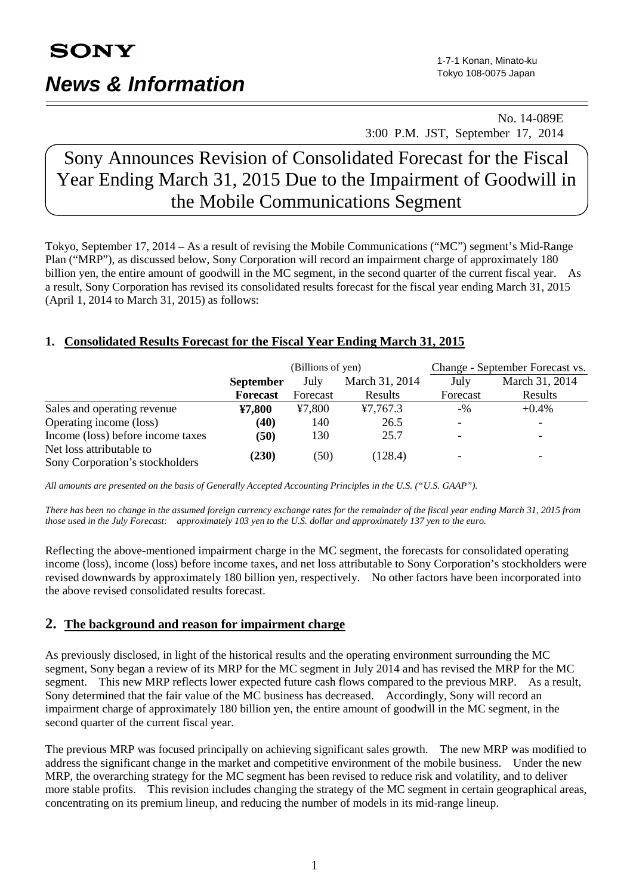# **SONY**

## *News & Information*

### No. 14-089E 3:00 P.M. JST, September 17, 2014

## Sony Announces Revision of Consolidated Forecast for the Fiscal Year Ending March 31, 2015 Due to the Impairment of Goodwill in the Mobile Communications Segment

Tokyo, September 17, 2014 – As a result of revising the Mobile Communications ("MC") segment's Mid-Range Plan ("MRP"), as discussed below, Sony Corporation will record an impairment charge of approximately 180 billion yen, the entire amount of goodwill in the MC segment, in the second quarter of the current fiscal year. As a result, Sony Corporation has revised its consolidated results forecast for the fiscal year ending March 31, 2015 (April 1, 2014 to March 31, 2015) as follows:

### **1. Consolidated Results Forecast for the Fiscal Year Ending March 31, 2015**

|                                   | (Billions of yen) |          |                | Change - September Forecast vs. |                |
|-----------------------------------|-------------------|----------|----------------|---------------------------------|----------------|
|                                   | <b>September</b>  | July     | March 31, 2014 | July                            | March 31, 2014 |
|                                   | Forecast          | Forecast | Results        | Forecast                        | Results        |
| Sales and operating revenue       | ¥7,800            | ¥7,800   | 47,767.3       | $-9/0$                          | $+0.4\%$       |
| Operating income (loss)           | (40)              | 140      | 26.5           |                                 |                |
| Income (loss) before income taxes | (50)              | 130      | 25.7           |                                 |                |
| Net loss attributable to          | (230)             | (50)     | (128.4)        |                                 |                |
| Sony Corporation's stockholders   |                   |          |                |                                 |                |

*All amounts are presented on the basis of Generally Accepted Accounting Principles in the U.S. ("U.S. GAAP").*

*There has been no change in the assumed foreign currency exchange rates for the remainder of the fiscal year ending March 31, 2015 from those used in the July Forecast: approximately 103 yen to the U.S. dollar and approximately 137 yen to the euro.*

Reflecting the above-mentioned impairment charge in the MC segment, the forecasts for consolidated operating income (loss), income (loss) before income taxes, and net loss attributable to Sony Corporation's stockholders were revised downwards by approximately 180 billion yen, respectively. No other factors have been incorporated into the above revised consolidated results forecast.

### **2. The background and reason for impairment charge**

As previously disclosed, in light of the historical results and the operating environment surrounding the MC segment, Sony began a review of its MRP for the MC segment in July 2014 and has revised the MRP for the MC segment. This new MRP reflects lower expected future cash flows compared to the previous MRP. As a result, Sony determined that the fair value of the MC business has decreased. Accordingly, Sony will record an impairment charge of approximately 180 billion yen, the entire amount of goodwill in the MC segment, in the second quarter of the current fiscal year.

The previous MRP was focused principally on achieving significant sales growth. The new MRP was modified to address the significant change in the market and competitive environment of the mobile business. Under the new MRP, the overarching strategy for the MC segment has been revised to reduce risk and volatility, and to deliver more stable profits. This revision includes changing the strategy of the MC segment in certain geographical areas, concentrating on its premium lineup, and reducing the number of models in its mid-range lineup.